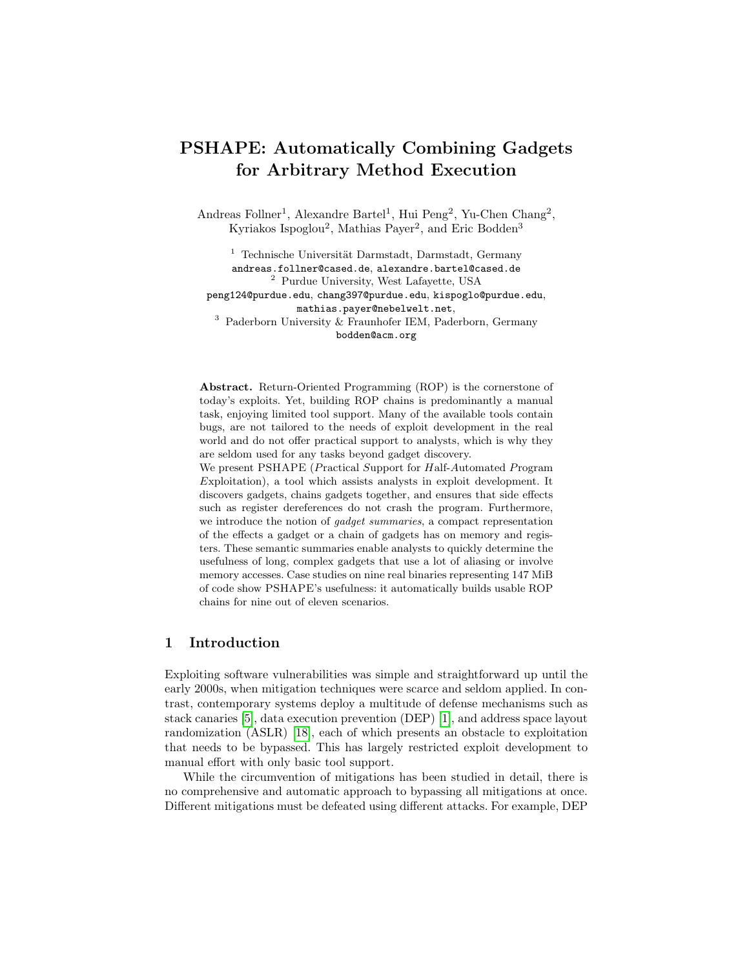# PSHAPE: Automatically Combining Gadgets for Arbitrary Method Execution

Andreas Follner<sup>1</sup>, Alexandre Bartel<sup>1</sup>, Hui Peng<sup>2</sup>, Yu-Chen Chang<sup>2</sup>, Kyriakos Ispoglou<sup>2</sup>, Mathias Payer<sup>2</sup>, and Eric Bodden<sup>3</sup>

 $1$  Technische Universität Darmstadt, Darmstadt, Germany andreas.follner@cased.de, alexandre.bartel@cased.de <sup>2</sup> Purdue University, West Lafayette, USA peng124@purdue.edu, chang397@purdue.edu, kispoglo@purdue.edu, mathias.payer@nebelwelt.net,

<sup>3</sup> Paderborn University & Fraunhofer IEM, Paderborn, Germany bodden@acm.org

Abstract. Return-Oriented Programming (ROP) is the cornerstone of today's exploits. Yet, building ROP chains is predominantly a manual task, enjoying limited tool support. Many of the available tools contain bugs, are not tailored to the needs of exploit development in the real world and do not offer practical support to analysts, which is why they are seldom used for any tasks beyond gadget discovery.

We present PSHAPE (*Practical Support for Half-Automated Program* Exploitation), a tool which assists analysts in exploit development. It discovers gadgets, chains gadgets together, and ensures that side effects such as register dereferences do not crash the program. Furthermore, we introduce the notion of *gadget summaries*, a compact representation of the effects a gadget or a chain of gadgets has on memory and registers. These semantic summaries enable analysts to quickly determine the usefulness of long, complex gadgets that use a lot of aliasing or involve memory accesses. Case studies on nine real binaries representing 147 MiB of code show PSHAPE's usefulness: it automatically builds usable ROP chains for nine out of eleven scenarios.

## 1 Introduction

Exploiting software vulnerabilities was simple and straightforward up until the early 2000s, when mitigation techniques were scarce and seldom applied. In contrast, contemporary systems deploy a multitude of defense mechanisms such as stack canaries [\[5\]](#page-14-0), data execution prevention (DEP) [\[1\]](#page-14-1), and address space layout randomization (ASLR) [\[18\]](#page-14-2), each of which presents an obstacle to exploitation that needs to be bypassed. This has largely restricted exploit development to manual effort with only basic tool support.

While the circumvention of mitigations has been studied in detail, there is no comprehensive and automatic approach to bypassing all mitigations at once. Different mitigations must be defeated using different attacks. For example, DEP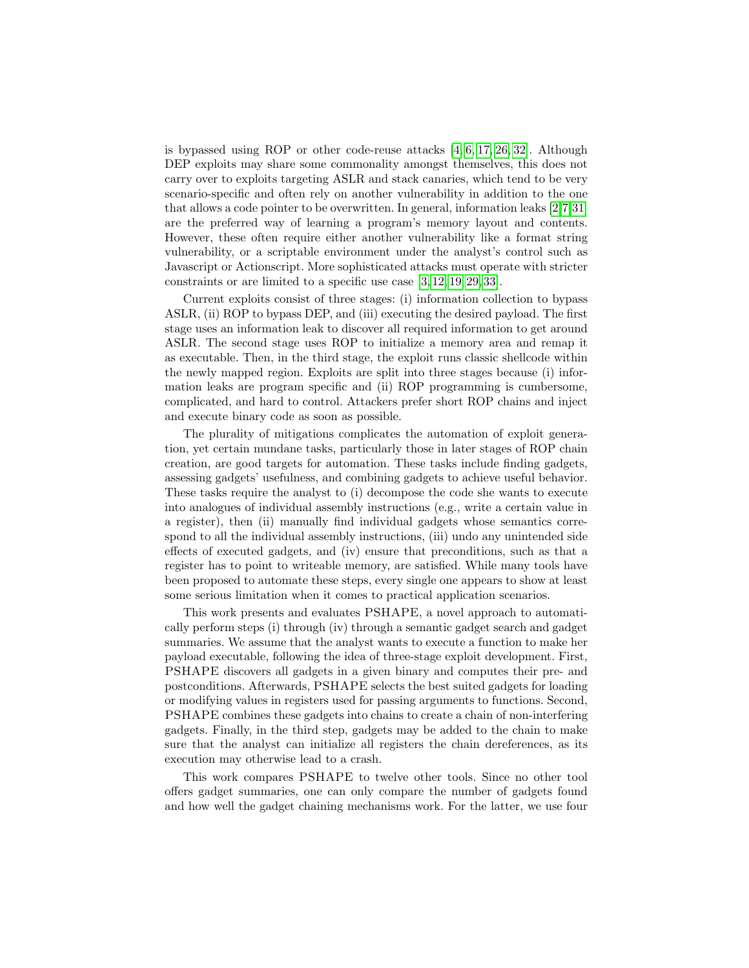is bypassed using ROP or other code-reuse attacks  $[4, 6, 17, 26, 32]$  $[4, 6, 17, 26, 32]$  $[4, 6, 17, 26, 32]$  $[4, 6, 17, 26, 32]$  $[4, 6, 17, 26, 32]$ . Although DEP exploits may share some commonality amongst themselves, this does not carry over to exploits targeting ASLR and stack canaries, which tend to be very scenario-specific and often rely on another vulnerability in addition to the one that allows a code pointer to be overwritten. In general, information leaks [\[2,](#page-14-6)[7,](#page-14-7)[31\]](#page-15-2) are the preferred way of learning a program's memory layout and contents. However, these often require either another vulnerability like a format string vulnerability, or a scriptable environment under the analyst's control such as Javascript or Actionscript. More sophisticated attacks must operate with stricter constraints or are limited to a specific use case [\[3,](#page-14-8) [12,](#page-14-9) [19,](#page-15-3) [29,](#page-15-4) [33\]](#page-15-5).

Current exploits consist of three stages: (i) information collection to bypass ASLR, (ii) ROP to bypass DEP, and (iii) executing the desired payload. The first stage uses an information leak to discover all required information to get around ASLR. The second stage uses ROP to initialize a memory area and remap it as executable. Then, in the third stage, the exploit runs classic shellcode within the newly mapped region. Exploits are split into three stages because (i) information leaks are program specific and (ii) ROP programming is cumbersome, complicated, and hard to control. Attackers prefer short ROP chains and inject and execute binary code as soon as possible.

The plurality of mitigations complicates the automation of exploit generation, yet certain mundane tasks, particularly those in later stages of ROP chain creation, are good targets for automation. These tasks include finding gadgets, assessing gadgets' usefulness, and combining gadgets to achieve useful behavior. These tasks require the analyst to (i) decompose the code she wants to execute into analogues of individual assembly instructions (e.g., write a certain value in a register), then (ii) manually find individual gadgets whose semantics correspond to all the individual assembly instructions, (iii) undo any unintended side effects of executed gadgets, and (iv) ensure that preconditions, such as that a register has to point to writeable memory, are satisfied. While many tools have been proposed to automate these steps, every single one appears to show at least some serious limitation when it comes to practical application scenarios.

This work presents and evaluates PSHAPE, a novel approach to automatically perform steps (i) through (iv) through a semantic gadget search and gadget summaries. We assume that the analyst wants to execute a function to make her payload executable, following the idea of three-stage exploit development. First, PSHAPE discovers all gadgets in a given binary and computes their pre- and postconditions. Afterwards, PSHAPE selects the best suited gadgets for loading or modifying values in registers used for passing arguments to functions. Second, PSHAPE combines these gadgets into chains to create a chain of non-interfering gadgets. Finally, in the third step, gadgets may be added to the chain to make sure that the analyst can initialize all registers the chain dereferences, as its execution may otherwise lead to a crash.

This work compares PSHAPE to twelve other tools. Since no other tool offers gadget summaries, one can only compare the number of gadgets found and how well the gadget chaining mechanisms work. For the latter, we use four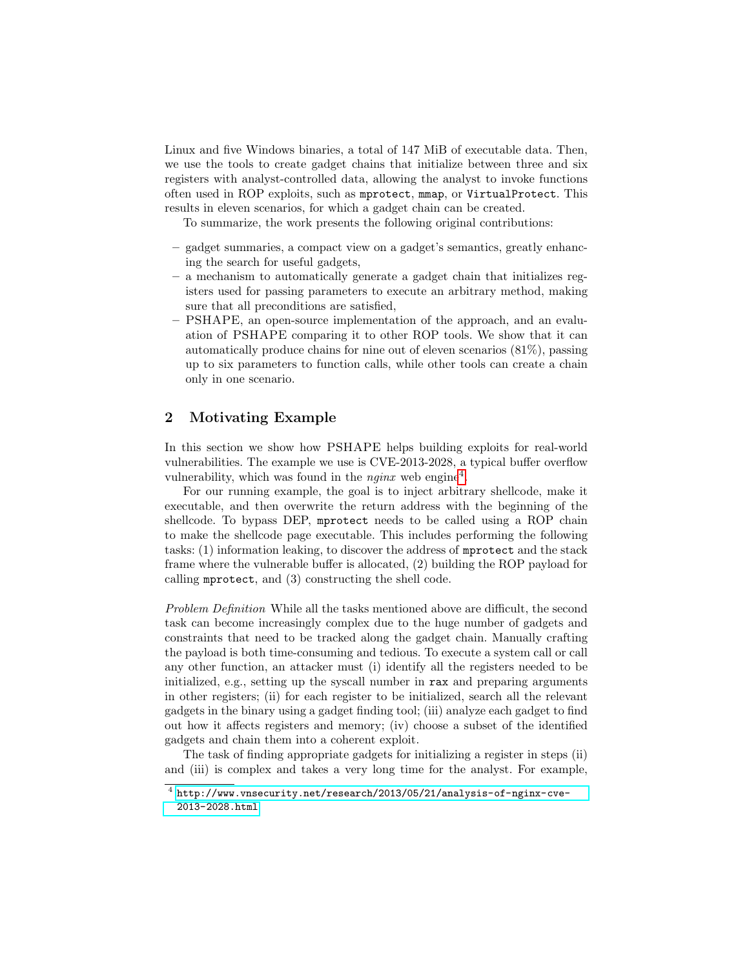Linux and five Windows binaries, a total of 147 MiB of executable data. Then, we use the tools to create gadget chains that initialize between three and six registers with analyst-controlled data, allowing the analyst to invoke functions often used in ROP exploits, such as mprotect, mmap, or VirtualProtect. This results in eleven scenarios, for which a gadget chain can be created.

To summarize, the work presents the following original contributions:

- gadget summaries, a compact view on a gadget's semantics, greatly enhancing the search for useful gadgets,
- a mechanism to automatically generate a gadget chain that initializes registers used for passing parameters to execute an arbitrary method, making sure that all preconditions are satisfied,
- PSHAPE, an open-source implementation of the approach, and an evaluation of PSHAPE comparing it to other ROP tools. We show that it can automatically produce chains for nine out of eleven scenarios (81%), passing up to six parameters to function calls, while other tools can create a chain only in one scenario.

## 2 Motivating Example

In this section we show how PSHAPE helps building exploits for real-world vulnerabilities. The example we use is CVE-2013-2028, a typical buffer overflow vulnerability, which was found in the  $nginx$  web engine<sup>[4](#page-2-0)</sup>.

For our running example, the goal is to inject arbitrary shellcode, make it executable, and then overwrite the return address with the beginning of the shellcode. To bypass DEP, mprotect needs to be called using a ROP chain to make the shellcode page executable. This includes performing the following tasks: (1) information leaking, to discover the address of mprotect and the stack frame where the vulnerable buffer is allocated, (2) building the ROP payload for calling mprotect, and (3) constructing the shell code.

Problem Definition While all the tasks mentioned above are difficult, the second task can become increasingly complex due to the huge number of gadgets and constraints that need to be tracked along the gadget chain. Manually crafting the payload is both time-consuming and tedious. To execute a system call or call any other function, an attacker must (i) identify all the registers needed to be initialized, e.g., setting up the syscall number in rax and preparing arguments in other registers; (ii) for each register to be initialized, search all the relevant gadgets in the binary using a gadget finding tool; (iii) analyze each gadget to find out how it affects registers and memory; (iv) choose a subset of the identified gadgets and chain them into a coherent exploit.

The task of finding appropriate gadgets for initializing a register in steps (ii) and (iii) is complex and takes a very long time for the analyst. For example,

<span id="page-2-0"></span> $^4$  [http://www.vnsecurity.net/research/2013/05/21/analysis-of-nginx-cve-](http://www.vnsecurity.net/research/2013/05/21/analysis-of-nginx-cve-2013-2028.html)[2013-2028.html](http://www.vnsecurity.net/research/2013/05/21/analysis-of-nginx-cve-2013-2028.html)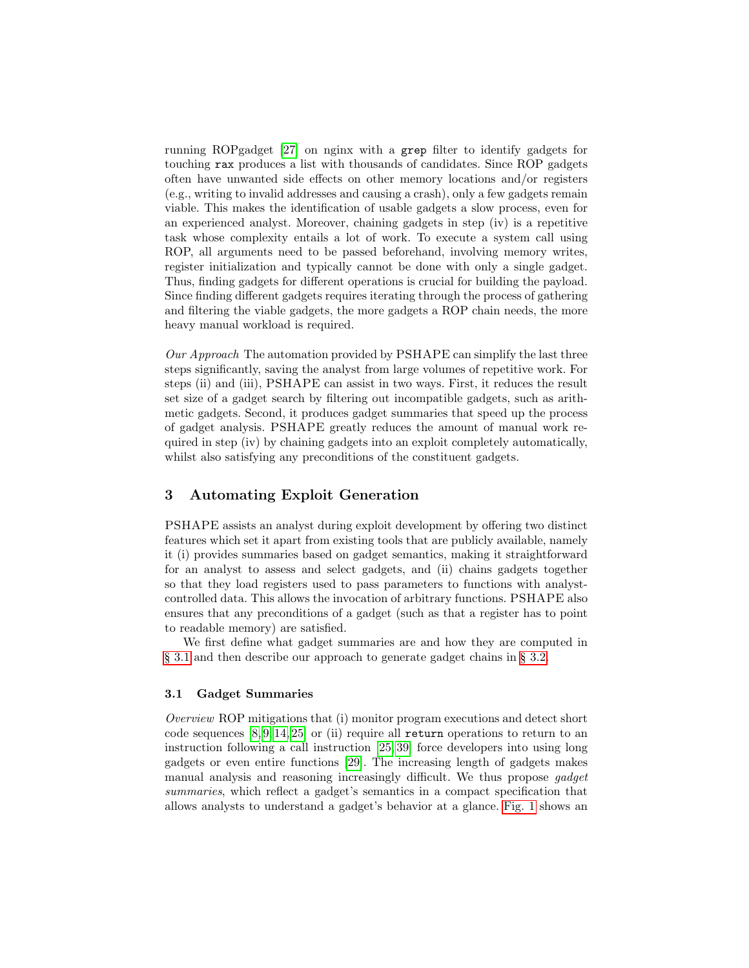running ROPgadget [\[27\]](#page-15-6) on nginx with a grep filter to identify gadgets for touching rax produces a list with thousands of candidates. Since ROP gadgets often have unwanted side effects on other memory locations and/or registers (e.g., writing to invalid addresses and causing a crash), only a few gadgets remain viable. This makes the identification of usable gadgets a slow process, even for an experienced analyst. Moreover, chaining gadgets in step (iv) is a repetitive task whose complexity entails a lot of work. To execute a system call using ROP, all arguments need to be passed beforehand, involving memory writes, register initialization and typically cannot be done with only a single gadget. Thus, finding gadgets for different operations is crucial for building the payload. Since finding different gadgets requires iterating through the process of gathering and filtering the viable gadgets, the more gadgets a ROP chain needs, the more heavy manual workload is required.

Our Approach The automation provided by PSHAPE can simplify the last three steps significantly, saving the analyst from large volumes of repetitive work. For steps (ii) and (iii), PSHAPE can assist in two ways. First, it reduces the result set size of a gadget search by filtering out incompatible gadgets, such as arithmetic gadgets. Second, it produces gadget summaries that speed up the process of gadget analysis. PSHAPE greatly reduces the amount of manual work required in step (iv) by chaining gadgets into an exploit completely automatically, whilst also satisfying any preconditions of the constituent gadgets.

## 3 Automating Exploit Generation

PSHAPE assists an analyst during exploit development by offering two distinct features which set it apart from existing tools that are publicly available, namely it (i) provides summaries based on gadget semantics, making it straightforward for an analyst to assess and select gadgets, and (ii) chains gadgets together so that they load registers used to pass parameters to functions with analystcontrolled data. This allows the invocation of arbitrary functions. PSHAPE also ensures that any preconditions of a gadget (such as that a register has to point to readable memory) are satisfied.

We first define what gadget summaries are and how they are computed in § [3.1](#page-3-0) and then describe our approach to generate gadget chains in § [3.2.](#page-5-0)

## <span id="page-3-0"></span>3.1 Gadget Summaries

Overview ROP mitigations that (i) monitor program executions and detect short code sequences [\[8,](#page-14-10) [9,](#page-14-11) [14,](#page-14-12) [25\]](#page-15-7) or (ii) require all return operations to return to an instruction following a call instruction [\[25,](#page-15-7) [39\]](#page-15-8) force developers into using long gadgets or even entire functions [\[29\]](#page-15-4). The increasing length of gadgets makes manual analysis and reasoning increasingly difficult. We thus propose gadget summaries, which reflect a gadget's semantics in a compact specification that allows analysts to understand a gadget's behavior at a glance. [Fig. 1](#page-4-0) shows an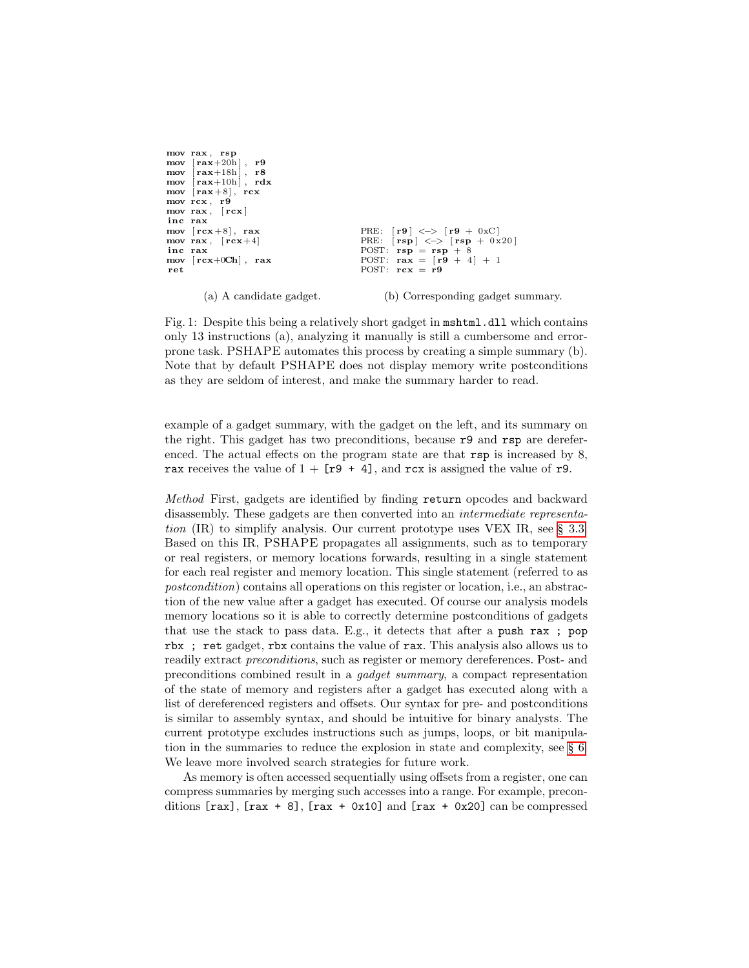```
mov rax , rsp
mov [rax+20h], r9
mov \begin{bmatrix} \textbf{rax} + 18\textbf{h} \end{bmatrix}, r8<br>mov \begin{bmatrix} \textbf{rax} + 10\textbf{h} \end{bmatrix}. rd:
           \texttt{rax+10h} , \texttt{rdx}mov \lceil \text{rx} + 8 \rceil, rcx
mov rcx , r9
mov rax, \lceil \text{rcx} \rceilinc rax
mov \lceil \text{rcx} + 8 \rceil, rax
mov rax, [rcx+4]inc rax
mov [ rcx+0Ch] , rax
re t
                                                                         PRE: [r9] \iff [r9 + 0xC]PRE: \begin{bmatrix} \mathbf{rsp} \end{bmatrix} \leq \frac{1}{2} \begin{bmatrix} \mathbf{rsp} + 0 \times 20 \end{bmatrix}POST: \mathbf{rsp} = \mathbf{rsp} + 8POST: \mathbf{rax} = [\mathbf{r9} + 4] + 1POST: rcx = r9
```
(a) A candidate gadget.

(b) Corresponding gadget summary.

Fig. 1: Despite this being a relatively short gadget in mshtml.dll which contains only 13 instructions (a), analyzing it manually is still a cumbersome and errorprone task. PSHAPE automates this process by creating a simple summary (b). Note that by default PSHAPE does not display memory write postconditions as they are seldom of interest, and make the summary harder to read.

example of a gadget summary, with the gadget on the left, and its summary on the right. This gadget has two preconditions, because r9 and rsp are dereferenced. The actual effects on the program state are that rsp is increased by 8, rax receives the value of  $1 + [r9 + 4]$ , and rcx is assigned the value of r9.

Method First, gadgets are identified by finding return opcodes and backward disassembly. These gadgets are then converted into an intermediate representation (IR) to simplify analysis. Our current prototype uses VEX IR, see  $\S 3.3$ . Based on this IR, PSHAPE propagates all assignments, such as to temporary or real registers, or memory locations forwards, resulting in a single statement for each real register and memory location. This single statement (referred to as postcondition) contains all operations on this register or location, i.e., an abstraction of the new value after a gadget has executed. Of course our analysis models memory locations so it is able to correctly determine postconditions of gadgets that use the stack to pass data. E.g., it detects that after a push rax ; pop rbx ; ret gadget, rbx contains the value of rax. This analysis also allows us to readily extract preconditions, such as register or memory dereferences. Post- and preconditions combined result in a gadget summary, a compact representation of the state of memory and registers after a gadget has executed along with a list of dereferenced registers and offsets. Our syntax for pre- and postconditions is similar to assembly syntax, and should be intuitive for binary analysts. The current prototype excludes instructions such as jumps, loops, or bit manipulation in the summaries to reduce the explosion in state and complexity, see § [6.](#page-13-0) We leave more involved search strategies for future work.

As memory is often accessed sequentially using offsets from a register, one can compress summaries by merging such accesses into a range. For example, preconditions  $\lceil \text{rax} \rceil$ ,  $\lceil \text{rax} + 8 \rceil$ ,  $\lceil \text{rax} + 0x10 \rceil$  and  $\lceil \text{rax} + 0x20 \rceil$  can be compressed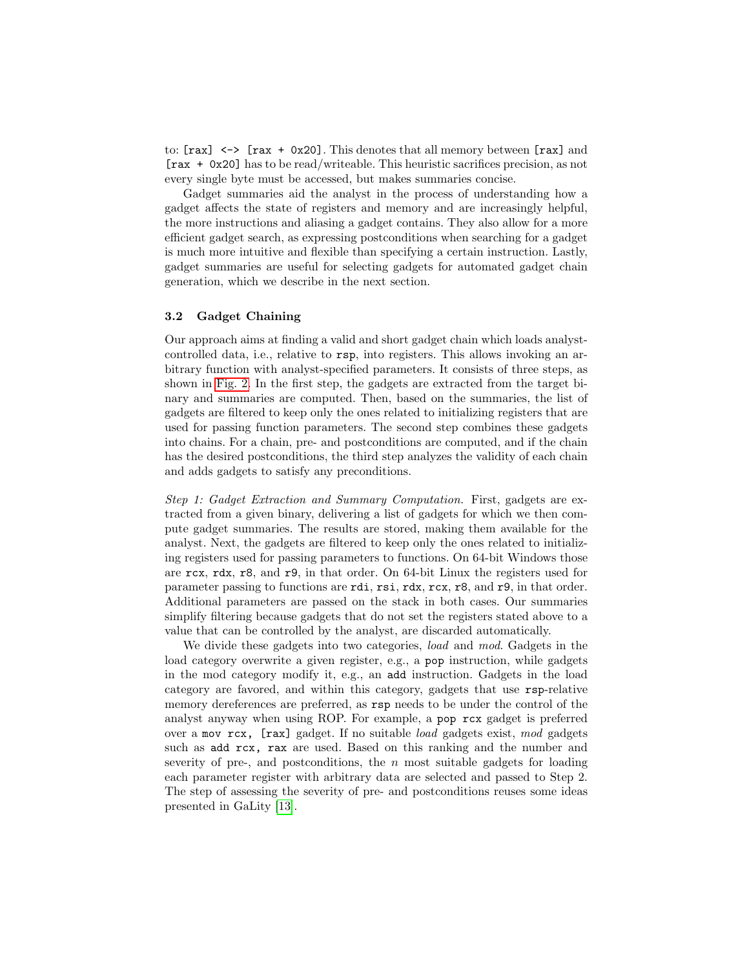to:  $\lceil \text{rax} \rceil$  <->  $\lceil \text{rax} + \text{0x20} \rceil$ . This denotes that all memory between  $\lceil \text{rax} \rceil$  and [rax + 0x20] has to be read/writeable. This heuristic sacrifices precision, as not every single byte must be accessed, but makes summaries concise.

Gadget summaries aid the analyst in the process of understanding how a gadget affects the state of registers and memory and are increasingly helpful, the more instructions and aliasing a gadget contains. They also allow for a more efficient gadget search, as expressing postconditions when searching for a gadget is much more intuitive and flexible than specifying a certain instruction. Lastly, gadget summaries are useful for selecting gadgets for automated gadget chain generation, which we describe in the next section.

### <span id="page-5-0"></span>3.2 Gadget Chaining

Our approach aims at finding a valid and short gadget chain which loads analystcontrolled data, i.e., relative to rsp, into registers. This allows invoking an arbitrary function with analyst-specified parameters. It consists of three steps, as shown in [Fig. 2.](#page-6-1) In the first step, the gadgets are extracted from the target binary and summaries are computed. Then, based on the summaries, the list of gadgets are filtered to keep only the ones related to initializing registers that are used for passing function parameters. The second step combines these gadgets into chains. For a chain, pre- and postconditions are computed, and if the chain has the desired postconditions, the third step analyzes the validity of each chain and adds gadgets to satisfy any preconditions.

Step 1: Gadget Extraction and Summary Computation. First, gadgets are extracted from a given binary, delivering a list of gadgets for which we then compute gadget summaries. The results are stored, making them available for the analyst. Next, the gadgets are filtered to keep only the ones related to initializing registers used for passing parameters to functions. On 64-bit Windows those are rcx, rdx, r8, and r9, in that order. On 64-bit Linux the registers used for parameter passing to functions are rdi, rsi, rdx, rcx, r8, and r9, in that order. Additional parameters are passed on the stack in both cases. Our summaries simplify filtering because gadgets that do not set the registers stated above to a value that can be controlled by the analyst, are discarded automatically.

We divide these gadgets into two categories, *load* and *mod*. Gadgets in the load category overwrite a given register, e.g., a pop instruction, while gadgets in the mod category modify it, e.g., an add instruction. Gadgets in the load category are favored, and within this category, gadgets that use rsp-relative memory dereferences are preferred, as rsp needs to be under the control of the analyst anyway when using ROP. For example, a pop rcx gadget is preferred over a mov rcx, [rax] gadget. If no suitable load gadgets exist, mod gadgets such as add rcx, rax are used. Based on this ranking and the number and severity of pre-, and postconditions, the  $n$  most suitable gadgets for loading each parameter register with arbitrary data are selected and passed to Step 2. The step of assessing the severity of pre- and postconditions reuses some ideas presented in GaLity [\[13\]](#page-14-13).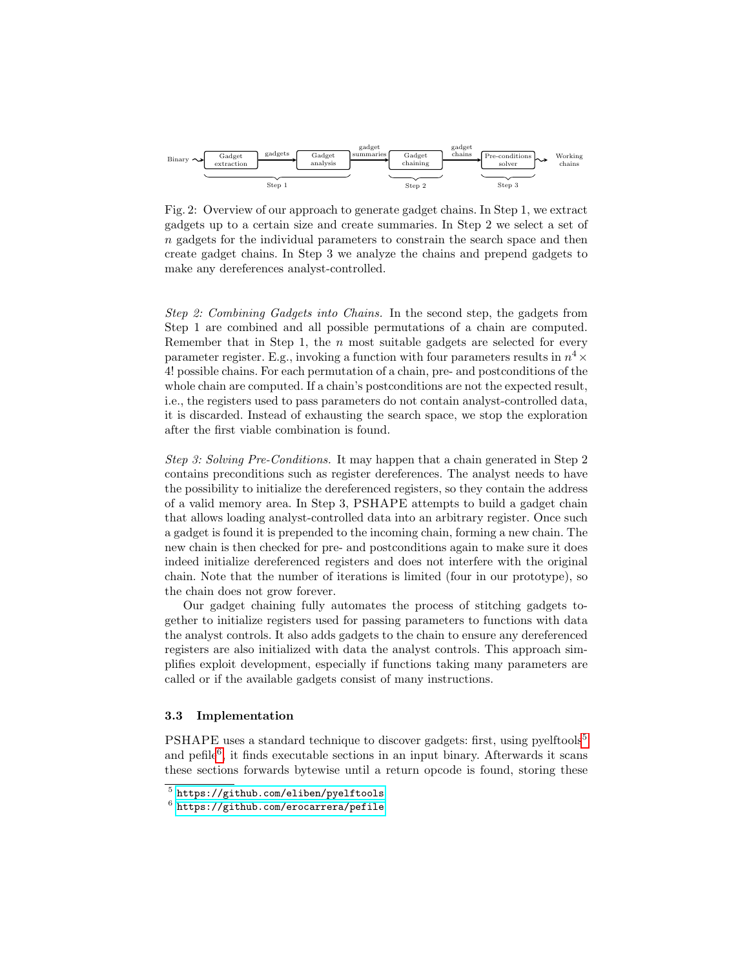<span id="page-6-1"></span>

Fig. 2: Overview of our approach to generate gadget chains. In Step 1, we extract gadgets up to a certain size and create summaries. In Step 2 we select a set of n gadgets for the individual parameters to constrain the search space and then create gadget chains. In Step 3 we analyze the chains and prepend gadgets to make any dereferences analyst-controlled.

Step 2: Combining Gadgets into Chains. In the second step, the gadgets from Step 1 are combined and all possible permutations of a chain are computed. Remember that in Step 1, the  $n$  most suitable gadgets are selected for every parameter register. E.g., invoking a function with four parameters results in  $n^4 \times$ 4! possible chains. For each permutation of a chain, pre- and postconditions of the whole chain are computed. If a chain's postconditions are not the expected result, i.e., the registers used to pass parameters do not contain analyst-controlled data, it is discarded. Instead of exhausting the search space, we stop the exploration after the first viable combination is found.

Step 3: Solving Pre-Conditions. It may happen that a chain generated in Step 2 contains preconditions such as register dereferences. The analyst needs to have the possibility to initialize the dereferenced registers, so they contain the address of a valid memory area. In Step 3, PSHAPE attempts to build a gadget chain that allows loading analyst-controlled data into an arbitrary register. Once such a gadget is found it is prepended to the incoming chain, forming a new chain. The new chain is then checked for pre- and postconditions again to make sure it does indeed initialize dereferenced registers and does not interfere with the original chain. Note that the number of iterations is limited (four in our prototype), so the chain does not grow forever.

Our gadget chaining fully automates the process of stitching gadgets together to initialize registers used for passing parameters to functions with data the analyst controls. It also adds gadgets to the chain to ensure any dereferenced registers are also initialized with data the analyst controls. This approach simplifies exploit development, especially if functions taking many parameters are called or if the available gadgets consist of many instructions.

#### <span id="page-6-0"></span>3.3 Implementation

PSHAPE uses a standard technique to discover gadgets: first, using pyelftools<sup>[5](#page-6-2)</sup> and pefile<sup>[6](#page-6-3)</sup>, it finds executable sections in an input binary. Afterwards it scans these sections forwards bytewise until a return opcode is found, storing these

<span id="page-6-2"></span> $^5$  <https://github.com/eliben/pyelftools>

<span id="page-6-3"></span> $^6$  <https://github.com/erocarrera/pefile>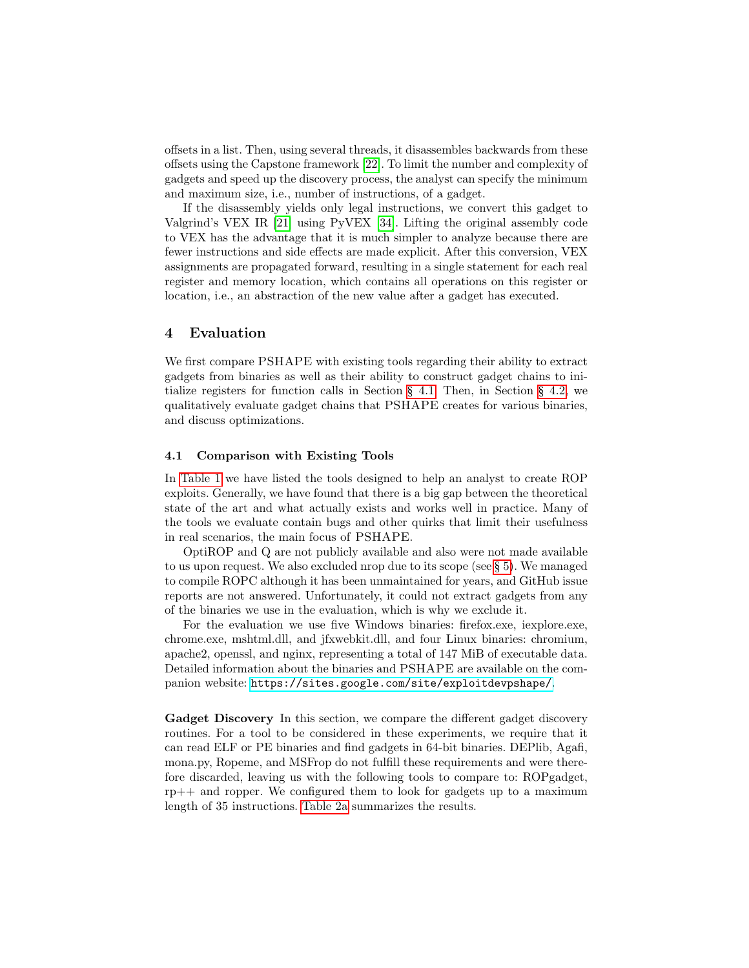offsets in a list. Then, using several threads, it disassembles backwards from these offsets using the Capstone framework [\[22\]](#page-15-9). To limit the number and complexity of gadgets and speed up the discovery process, the analyst can specify the minimum and maximum size, i.e., number of instructions, of a gadget.

If the disassembly yields only legal instructions, we convert this gadget to Valgrind's VEX IR [\[21\]](#page-15-10) using PyVEX [\[34\]](#page-15-11). Lifting the original assembly code to VEX has the advantage that it is much simpler to analyze because there are fewer instructions and side effects are made explicit. After this conversion, VEX assignments are propagated forward, resulting in a single statement for each real register and memory location, which contains all operations on this register or location, i.e., an abstraction of the new value after a gadget has executed.

## 4 Evaluation

We first compare PSHAPE with existing tools regarding their ability to extract gadgets from binaries as well as their ability to construct gadget chains to ini-tialize registers for function calls in Section § [4.1.](#page-7-0) Then, in Section § [4.2,](#page-10-0) we qualitatively evaluate gadget chains that PSHAPE creates for various binaries, and discuss optimizations.

#### <span id="page-7-0"></span>4.1 Comparison with Existing Tools

In [Table 1](#page-8-0) we have listed the tools designed to help an analyst to create ROP exploits. Generally, we have found that there is a big gap between the theoretical state of the art and what actually exists and works well in practice. Many of the tools we evaluate contain bugs and other quirks that limit their usefulness in real scenarios, the main focus of PSHAPE.

OptiROP and Q are not publicly available and also were not made available to us upon request. We also excluded nrop due to its scope (see  $\S 5$ ). We managed to compile ROPC although it has been unmaintained for years, and GitHub issue reports are not answered. Unfortunately, it could not extract gadgets from any of the binaries we use in the evaluation, which is why we exclude it.

For the evaluation we use five Windows binaries: firefox.exe, iexplore.exe, chrome.exe, mshtml.dll, and jfxwebkit.dll, and four Linux binaries: chromium, apache2, openssl, and nginx, representing a total of 147 MiB of executable data. Detailed information about the binaries and PSHAPE are available on the companion website: <https://sites.google.com/site/exploitdevpshape/>.

<span id="page-7-1"></span>Gadget Discovery In this section, we compare the different gadget discovery routines. For a tool to be considered in these experiments, we require that it can read ELF or PE binaries and find gadgets in 64-bit binaries. DEPlib, Agafi, mona.py, Ropeme, and MSFrop do not fulfill these requirements and were therefore discarded, leaving us with the following tools to compare to: ROPgadget, rp++ and ropper. We configured them to look for gadgets up to a maximum length of 35 instructions. [Table 2a](#page-9-0) summarizes the results.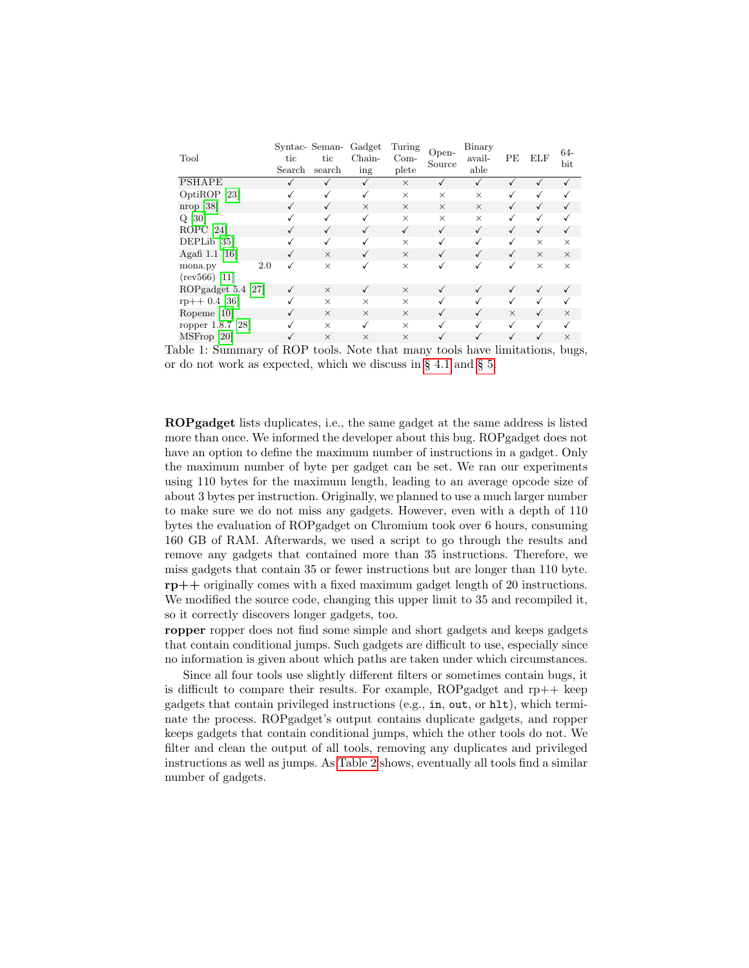<span id="page-8-0"></span>

| Tool                              | tic<br>Search | Syntac-Seman-<br>tic<br>search | Gadget<br>Chain-<br>ing | Turing<br>$Com-$<br>plete | Open-<br>Source | Binary<br>avail-<br>able | PE           | <b>ELF</b>   | 64-<br>bit   |
|-----------------------------------|---------------|--------------------------------|-------------------------|---------------------------|-----------------|--------------------------|--------------|--------------|--------------|
| PSHAPE                            |               | $\checkmark$                   | $\checkmark$            | $\times$                  | ✓               | $\checkmark$             | ✓            | $\checkmark$ | $\checkmark$ |
| OptiROP <sup>[23]</sup>           | √             | $\checkmark$                   | ✓                       | $\times$                  | $\times$        | $\times$                 | ✓            | ✓            | ✓            |
| nrop $[38]$                       | ✓             | $\checkmark$                   | $\times$                | $\times$                  | $\times$        | $\times$                 | ✓            | √            | $\checkmark$ |
| $Q$ [30]                          |               | ✓                              | ✓                       | $\times$                  | $\times$        | $\times$                 | ✓            | ✓            | $\checkmark$ |
| ROPC <sup>[24]</sup>              |               | $\checkmark$                   |                         | $\checkmark$              | ✓               | $\checkmark$             | ✓            | ✓            | $\checkmark$ |
| DEPLib <sup>[35]</sup>            |               | ✓                              |                         | $\times$                  | ✓               | $\checkmark$             | $\checkmark$ | $\times$     | $\times$     |
| Agafi 1.1 [16]                    | $\checkmark$  | $\times$                       | ✓                       | $\times$                  | $\checkmark$    | $\checkmark$             | $\checkmark$ | $\times$     | $\times$     |
| 2.0<br>mona.py<br>$(rev566)$ [11] | ✓             | $\times$                       | ✓                       | $\times$                  | $\checkmark$    | ✓                        | ✓            | $\times$     | $\times$     |
| ROPgadget $5.4$ [27]              | ✓             | $\times$                       | ✓                       | $\times$                  |                 | $\checkmark$             | √            | √            | ✓            |
| $rp++ 0.4 [36]$                   |               | $\times$                       | $\times$                | $\times$                  |                 | $\checkmark$             | ✓            | ✓            | √            |
| Ropeme $[10]$                     | ✓             | $\times$                       | $\times$                | $\times$                  | $\checkmark$    | $\checkmark$             | $\times$     | $\checkmark$ | $\times$     |
| ropper 1.8.7 [28]                 | √             | $\times$                       | √                       | $\times$                  | √               | ✓                        | ✓            | ✓            | ✓            |
| MSFrop [20]                       |               | $\times$                       | $\times$                | $\times$                  | √               | √                        | ✓            | ✓            | $\times$     |

Table 1: Summary of ROP tools. Note that many tools have limitations, bugs, or do not work as expected, which we discuss in § [4.1](#page-7-1) and § [5.](#page-11-0)

ROPgadget lists duplicates, i.e., the same gadget at the same address is listed more than once. We informed the developer about this bug. ROPgadget does not have an option to define the maximum number of instructions in a gadget. Only the maximum number of byte per gadget can be set. We ran our experiments using 110 bytes for the maximum length, leading to an average opcode size of about 3 bytes per instruction. Originally, we planned to use a much larger number to make sure we do not miss any gadgets. However, even with a depth of 110 bytes the evaluation of ROPgadget on Chromium took over 6 hours, consuming 160 GB of RAM. Afterwards, we used a script to go through the results and remove any gadgets that contained more than 35 instructions. Therefore, we miss gadgets that contain 35 or fewer instructions but are longer than 110 byte. rp++ originally comes with a fixed maximum gadget length of 20 instructions. We modified the source code, changing this upper limit to 35 and recompiled it, so it correctly discovers longer gadgets, too.

ropper ropper does not find some simple and short gadgets and keeps gadgets that contain conditional jumps. Such gadgets are difficult to use, especially since no information is given about which paths are taken under which circumstances.

Since all four tools use slightly different filters or sometimes contain bugs, it is difficult to compare their results. For example, ROPgadget and  $rp++$  keep gadgets that contain privileged instructions (e.g., in, out, or hlt), which terminate the process. ROPgadget's output contains duplicate gadgets, and ropper keeps gadgets that contain conditional jumps, which the other tools do not. We filter and clean the output of all tools, removing any duplicates and privileged instructions as well as jumps. As [Table 2](#page-9-0) shows, eventually all tools find a similar number of gadgets.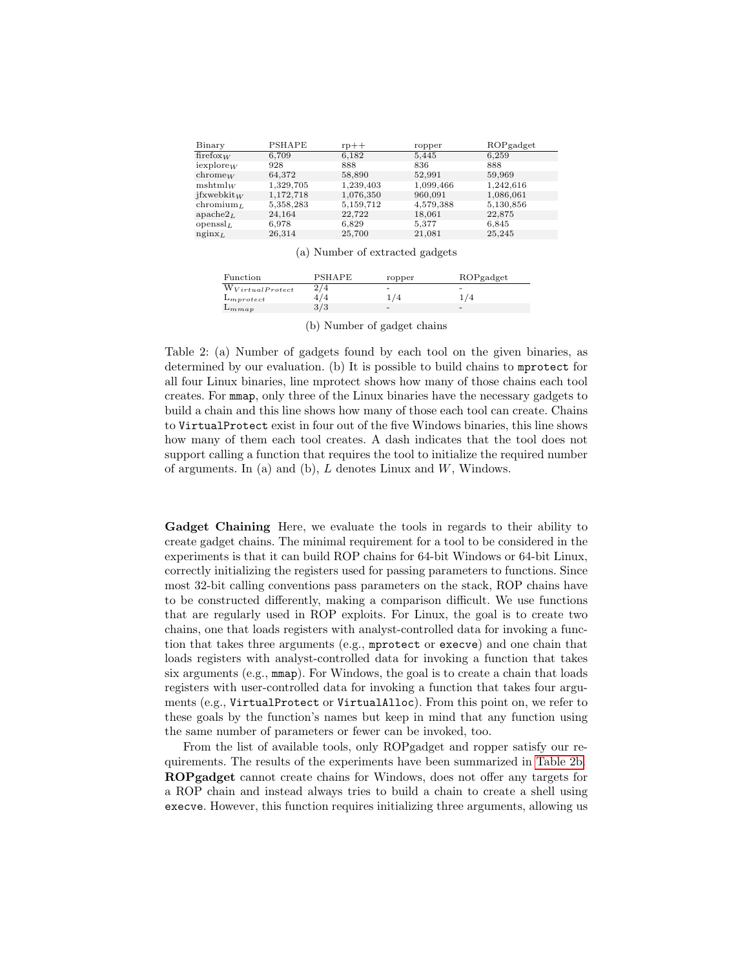<span id="page-9-0"></span>

| Binary               | <b>PSHAPE</b> | $rp++$    | ropper    | ROPgadget |
|----------------------|---------------|-----------|-----------|-----------|
| firefox $_W$         | 6,709         | 6,182     | 5,445     | 6,259     |
| $i$ explore $W$      | 928           | 888       | 836       | 888       |
| $\mathrm{chromew}$   | 64,372        | 58,890    | 52,991    | 59,969    |
| $mshtml_W$           | 1,329,705     | 1,239,403 | 1,099,466 | 1,242,616 |
| if x web kitw        | 1,172,718     | 1,076,350 | 960,091   | 1,086,061 |
| chromium $L$         | 5,358,283     | 5,159,712 | 4,579,388 | 5,130,856 |
| apache2 <sub>L</sub> | 24,164        | 22,722    | 18,061    | 22,875    |
| $openssl_L$          | 6,978         | 6,829     | 5,377     | 6,845     |
| $\eta$ nginx $L$     | 26,314        | 25,700    | 21,081    | 25,245    |
|                      |               |           |           |           |

#### (a) Number of extracted gadgets

| Function                   | PSHAPE | ropper                   | ROPgadget |
|----------------------------|--------|--------------------------|-----------|
| $\overline{W_{Virtual\:}}$ | 2/4    | -                        | ۰         |
| $L_{mprotect}$             | /4     | /4                       |           |
| $L_{mmap}$                 | 3/3    | $\overline{\phantom{a}}$ | -         |

(b) Number of gadget chains

Table 2: (a) Number of gadgets found by each tool on the given binaries, as determined by our evaluation. (b) It is possible to build chains to mprotect for all four Linux binaries, line mprotect shows how many of those chains each tool creates. For mmap, only three of the Linux binaries have the necessary gadgets to build a chain and this line shows how many of those each tool can create. Chains to VirtualProtect exist in four out of the five Windows binaries, this line shows how many of them each tool creates. A dash indicates that the tool does not support calling a function that requires the tool to initialize the required number of arguments. In (a) and (b),  $L$  denotes Linux and  $W$ , Windows.

Gadget Chaining Here, we evaluate the tools in regards to their ability to create gadget chains. The minimal requirement for a tool to be considered in the experiments is that it can build ROP chains for 64-bit Windows or 64-bit Linux, correctly initializing the registers used for passing parameters to functions. Since most 32-bit calling conventions pass parameters on the stack, ROP chains have to be constructed differently, making a comparison difficult. We use functions that are regularly used in ROP exploits. For Linux, the goal is to create two chains, one that loads registers with analyst-controlled data for invoking a function that takes three arguments (e.g., mprotect or execve) and one chain that loads registers with analyst-controlled data for invoking a function that takes six arguments (e.g., mmap). For Windows, the goal is to create a chain that loads registers with user-controlled data for invoking a function that takes four arguments (e.g., VirtualProtect or VirtualAlloc). From this point on, we refer to these goals by the function's names but keep in mind that any function using the same number of parameters or fewer can be invoked, too.

From the list of available tools, only ROPgadget and ropper satisfy our requirements. The results of the experiments have been summarized in [Table 2b.](#page-9-0) ROPgadget cannot create chains for Windows, does not offer any targets for a ROP chain and instead always tries to build a chain to create a shell using execve. However, this function requires initializing three arguments, allowing us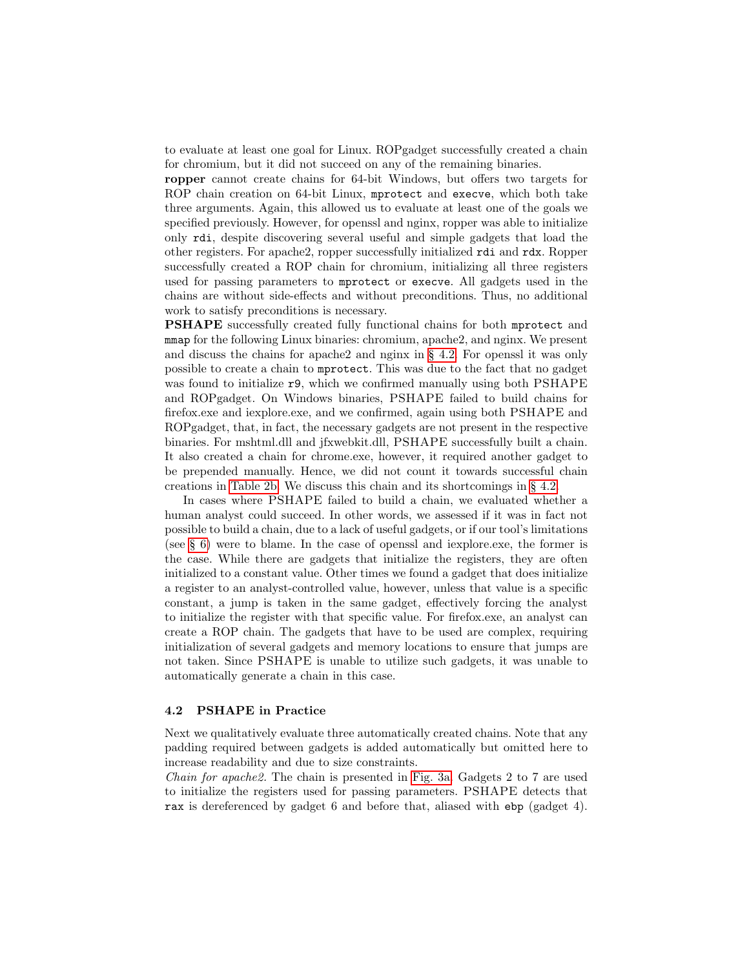to evaluate at least one goal for Linux. ROPgadget successfully created a chain for chromium, but it did not succeed on any of the remaining binaries.

ropper cannot create chains for 64-bit Windows, but offers two targets for ROP chain creation on 64-bit Linux, mprotect and execve, which both take three arguments. Again, this allowed us to evaluate at least one of the goals we specified previously. However, for openssl and nginx, ropper was able to initialize only rdi, despite discovering several useful and simple gadgets that load the other registers. For apache2, ropper successfully initialized rdi and rdx. Ropper successfully created a ROP chain for chromium, initializing all three registers used for passing parameters to mprotect or execve. All gadgets used in the chains are without side-effects and without preconditions. Thus, no additional work to satisfy preconditions is necessary.

PSHAPE successfully created fully functional chains for both mprotect and mmap for the following Linux binaries: chromium, apache2, and nginx. We present and discuss the chains for apache2 and nginx in  $\S$  [4.2.](#page-10-0) For openssl it was only possible to create a chain to mprotect. This was due to the fact that no gadget was found to initialize r9, which we confirmed manually using both PSHAPE and ROPgadget. On Windows binaries, PSHAPE failed to build chains for firefox.exe and iexplore.exe, and we confirmed, again using both PSHAPE and ROPgadget, that, in fact, the necessary gadgets are not present in the respective binaries. For mshtml.dll and jfxwebkit.dll, PSHAPE successfully built a chain. It also created a chain for chrome.exe, however, it required another gadget to be prepended manually. Hence, we did not count it towards successful chain creations in [Table 2b.](#page-9-0) We discuss this chain and its shortcomings in § [4.2.](#page-10-0)

In cases where PSHAPE failed to build a chain, we evaluated whether a human analyst could succeed. In other words, we assessed if it was in fact not possible to build a chain, due to a lack of useful gadgets, or if our tool's limitations (see § [6\)](#page-13-0) were to blame. In the case of openssl and iexplore.exe, the former is the case. While there are gadgets that initialize the registers, they are often initialized to a constant value. Other times we found a gadget that does initialize a register to an analyst-controlled value, however, unless that value is a specific constant, a jump is taken in the same gadget, effectively forcing the analyst to initialize the register with that specific value. For firefox.exe, an analyst can create a ROP chain. The gadgets that have to be used are complex, requiring initialization of several gadgets and memory locations to ensure that jumps are not taken. Since PSHAPE is unable to utilize such gadgets, it was unable to automatically generate a chain in this case.

#### <span id="page-10-0"></span>4.2 PSHAPE in Practice

Next we qualitatively evaluate three automatically created chains. Note that any padding required between gadgets is added automatically but omitted here to increase readability and due to size constraints.

Chain for apache2. The chain is presented in [Fig. 3a.](#page-12-0) Gadgets 2 to 7 are used to initialize the registers used for passing parameters. PSHAPE detects that rax is dereferenced by gadget 6 and before that, aliased with ebp (gadget 4).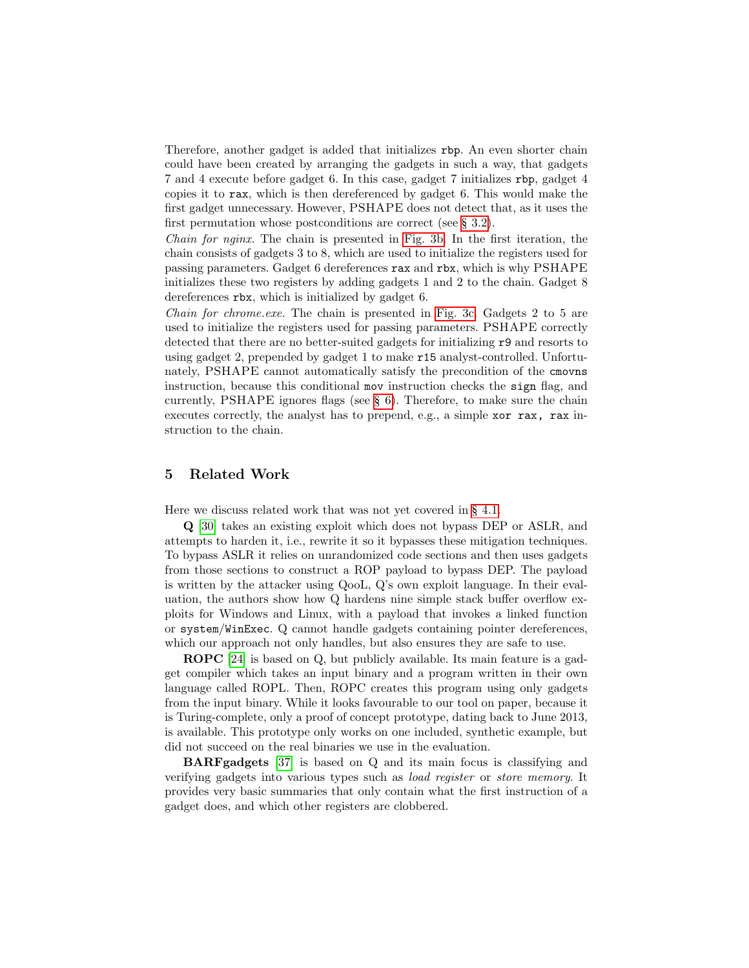Therefore, another gadget is added that initializes rbp. An even shorter chain could have been created by arranging the gadgets in such a way, that gadgets 7 and 4 execute before gadget 6. In this case, gadget 7 initializes rbp, gadget 4 copies it to rax, which is then dereferenced by gadget 6. This would make the first gadget unnecessary. However, PSHAPE does not detect that, as it uses the first permutation whose postconditions are correct (see  $\S 3.2$ ).

Chain for nginx. The chain is presented in [Fig. 3b.](#page-12-0) In the first iteration, the chain consists of gadgets 3 to 8, which are used to initialize the registers used for passing parameters. Gadget 6 dereferences rax and rbx, which is why PSHAPE initializes these two registers by adding gadgets 1 and 2 to the chain. Gadget 8 dereferences rbx, which is initialized by gadget 6.

Chain for chrome.exe. The chain is presented in [Fig. 3c.](#page-12-0) Gadgets 2 to 5 are used to initialize the registers used for passing parameters. PSHAPE correctly detected that there are no better-suited gadgets for initializing r9 and resorts to using gadget 2, prepended by gadget 1 to make r15 analyst-controlled. Unfortunately, PSHAPE cannot automatically satisfy the precondition of the cmovns instruction, because this conditional mov instruction checks the sign flag, and currently, PSHAPE ignores flags (see  $\S$  [6\)](#page-13-0). Therefore, to make sure the chain executes correctly, the analyst has to prepend, e.g., a simple xor rax, rax instruction to the chain.

### <span id="page-11-0"></span>5 Related Work

Here we discuss related work that was not yet covered in § [4.1.](#page-7-0)

Q [\[30\]](#page-15-14) takes an existing exploit which does not bypass DEP or ASLR, and attempts to harden it, i.e., rewrite it so it bypasses these mitigation techniques. To bypass ASLR it relies on unrandomized code sections and then uses gadgets from those sections to construct a ROP payload to bypass DEP. The payload is written by the attacker using QooL, Q's own exploit language. In their evaluation, the authors show how Q hardens nine simple stack buffer overflow exploits for Windows and Linux, with a payload that invokes a linked function or system/WinExec. Q cannot handle gadgets containing pointer dereferences, which our approach not only handles, but also ensures they are safe to use.

ROPC [\[24\]](#page-15-15) is based on Q, but publicly available. Its main feature is a gadget compiler which takes an input binary and a program written in their own language called ROPL. Then, ROPC creates this program using only gadgets from the input binary. While it looks favourable to our tool on paper, because it is Turing-complete, only a proof of concept prototype, dating back to June 2013, is available. This prototype only works on one included, synthetic example, but did not succeed on the real binaries we use in the evaluation.

BARFgadgets [\[37\]](#page-15-20) is based on Q and its main focus is classifying and verifying gadgets into various types such as load register or store memory. It provides very basic summaries that only contain what the first instruction of a gadget does, and which other registers are clobbered.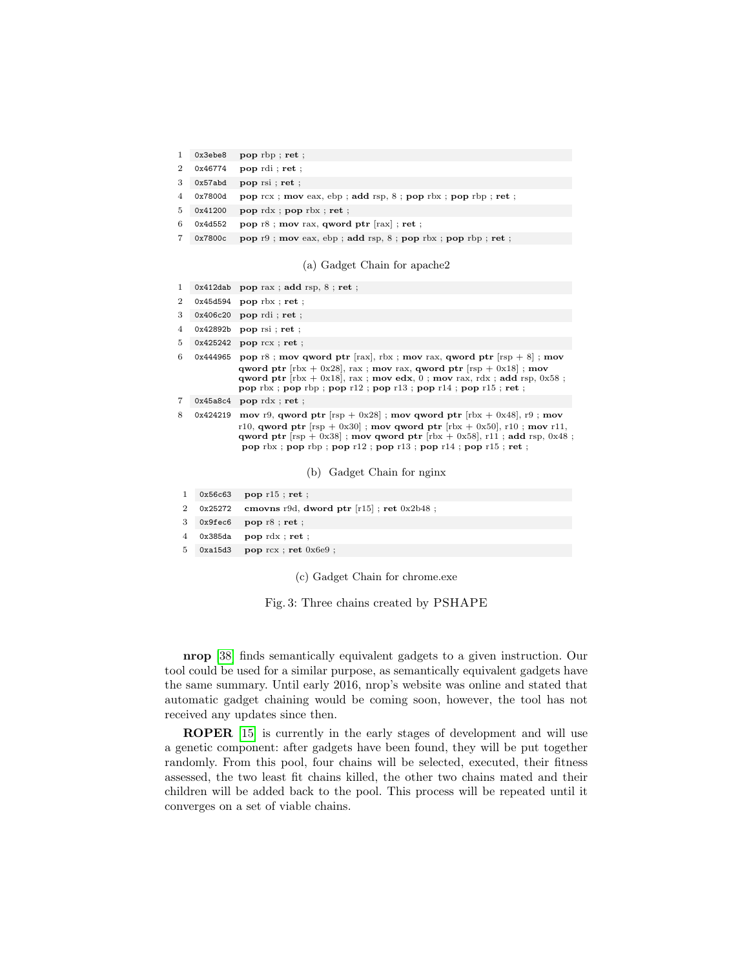<span id="page-12-0"></span>

| $\mathbf{1}$   | 0x3ebe8 | pop rbp; ret;                                                          |
|----------------|---------|------------------------------------------------------------------------|
| $\overline{2}$ | 0x46774 | pop rdi ; ret ;                                                        |
| 3              | 0x57abd | pop rsi ; ret ;                                                        |
| $\overline{4}$ | 0x7800d | pop rcx; mov eax, ebp; add rsp, $8$ ; pop rbx; pop rbp; ret;           |
| 5.             | 0x41200 | $pop \, rdx : pop \, rbx : ret :$                                      |
| 6              | 0x4d552 | pop $r8$ ; mov rax, qword ptr $\lceil r \cdot \text{ax} \rceil$ ; ret; |
| 7              | 0x7800c | pop $r9$ ; mov eax, ebp; add rsp, $8$ ; pop rbx; pop rbp; ret;         |
|                |         | (a) Gadget Chain for apache2                                           |
| 1              |         | $0x412dab$ pop rax; add rsp, $8$ ; ret;                                |

| $\overline{2}$ |          | $0x45d594$ pop rbx; ret;                                                                                                                                                                                                                                                                                                                                                                          |
|----------------|----------|---------------------------------------------------------------------------------------------------------------------------------------------------------------------------------------------------------------------------------------------------------------------------------------------------------------------------------------------------------------------------------------------------|
| 3              |          | $0x406c20$ pop rdi; ret;                                                                                                                                                                                                                                                                                                                                                                          |
| 4              |          | $0x42892b$ pop rsi; ret;                                                                                                                                                                                                                                                                                                                                                                          |
| 5              |          | $0x425242$ pop rcx; ret;                                                                                                                                                                                                                                                                                                                                                                          |
| 6              |          | 0x444965 pop r8; mov qword ptr $ {\rm tax} $ , rbx; mov rax, qword ptr $ {\rm rsp} + 8 $ ; mov<br>qword ptr $[\text{rbx} + 0x28]$ , rax; mov rax, qword ptr $[\text{rsp} + 0x18]$ ; mov<br>qword ptr [rbx + 0x18], rax; mov edx, 0; mov rax, rdx; add rsp, $0x58$ ;<br>pop rbx; pop rbp; pop r12; pop r13; pop r14; pop r15; ret;                                                                 |
| 7              |          | $0x45a8c4$ pop rdx; ret;                                                                                                                                                                                                                                                                                                                                                                          |
| 8              | 0x424219 | mov r9, qword ptr $\lceil \text{rsp} + 0x28 \rceil$ ; mov qword ptr $\lceil \text{rbr} + 0x48 \rceil$ , r9; mov<br>r10, qword ptr $\lceil rsp + 0x30 \rceil$ ; mov qword ptr $\lceil r\ln x + 0x50 \rceil$ , r10; mov r11,<br>qword ptr [rsp + 0x38]; mov qword ptr [rbx + 0x58], r11; add rsp, 0x48;<br>pop rbx; pop rbp; pop r12; pop r13; pop r14; pop r15; ret;<br>(b) Gadget Chain for nginx |
|                |          |                                                                                                                                                                                                                                                                                                                                                                                                   |
| 1              | 0x56c63  | pop $r15$ ; ret;                                                                                                                                                                                                                                                                                                                                                                                  |
| $\overline{2}$ | 0x25272  | cmovns r9d, dword ptr $[r15]$ ; ret $0x2b48$ ;                                                                                                                                                                                                                                                                                                                                                    |

(c) Gadget Chain for chrome.exe

3 0x9fec6 pop r8 ; ret ; 4 0x385da pop rdx ; ret ; 5 0xa15d3 pop rcx ; ret 0x6e9 ;

Fig. 3: Three chains created by PSHAPE

nrop [\[38\]](#page-15-13) finds semantically equivalent gadgets to a given instruction. Our tool could be used for a similar purpose, as semantically equivalent gadgets have the same summary. Until early 2016, nrop's website was online and stated that automatic gadget chaining would be coming soon, however, the tool has not received any updates since then.

ROPER [\[15\]](#page-14-17) is currently in the early stages of development and will use a genetic component: after gadgets have been found, they will be put together randomly. From this pool, four chains will be selected, executed, their fitness assessed, the two least fit chains killed, the other two chains mated and their children will be added back to the pool. This process will be repeated until it converges on a set of viable chains.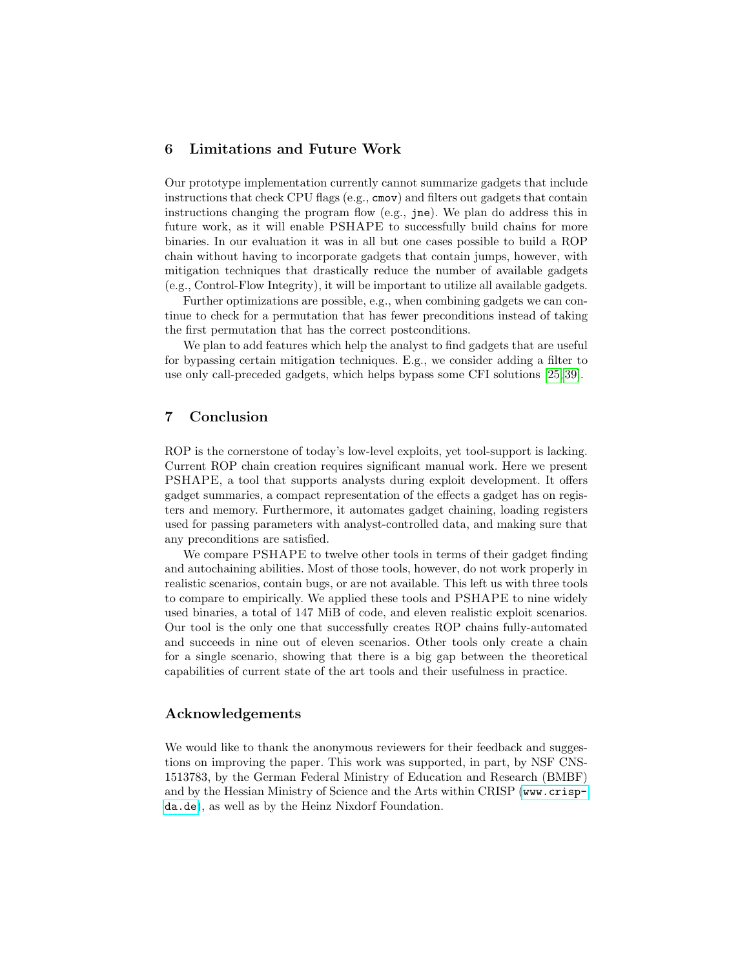## <span id="page-13-0"></span>6 Limitations and Future Work

Our prototype implementation currently cannot summarize gadgets that include instructions that check CPU flags (e.g., cmov) and filters out gadgets that contain instructions changing the program flow (e.g., jne). We plan do address this in future work, as it will enable PSHAPE to successfully build chains for more binaries. In our evaluation it was in all but one cases possible to build a ROP chain without having to incorporate gadgets that contain jumps, however, with mitigation techniques that drastically reduce the number of available gadgets (e.g., Control-Flow Integrity), it will be important to utilize all available gadgets.

Further optimizations are possible, e.g., when combining gadgets we can continue to check for a permutation that has fewer preconditions instead of taking the first permutation that has the correct postconditions.

We plan to add features which help the analyst to find gadgets that are useful for bypassing certain mitigation techniques. E.g., we consider adding a filter to use only call-preceded gadgets, which helps bypass some CFI solutions [\[25,](#page-15-7) [39\]](#page-15-8).

## 7 Conclusion

ROP is the cornerstone of today's low-level exploits, yet tool-support is lacking. Current ROP chain creation requires significant manual work. Here we present PSHAPE, a tool that supports analysts during exploit development. It offers gadget summaries, a compact representation of the effects a gadget has on registers and memory. Furthermore, it automates gadget chaining, loading registers used for passing parameters with analyst-controlled data, and making sure that any preconditions are satisfied.

We compare PSHAPE to twelve other tools in terms of their gadget finding and autochaining abilities. Most of those tools, however, do not work properly in realistic scenarios, contain bugs, or are not available. This left us with three tools to compare to empirically. We applied these tools and PSHAPE to nine widely used binaries, a total of 147 MiB of code, and eleven realistic exploit scenarios. Our tool is the only one that successfully creates ROP chains fully-automated and succeeds in nine out of eleven scenarios. Other tools only create a chain for a single scenario, showing that there is a big gap between the theoretical capabilities of current state of the art tools and their usefulness in practice.

## Acknowledgements

We would like to thank the anonymous reviewers for their feedback and suggestions on improving the paper. This work was supported, in part, by NSF CNS-1513783, by the German Federal Ministry of Education and Research (BMBF) and by the Hessian Ministry of Science and the Arts within CRISP ([www.crisp](www.crisp-da.de)[da.de](www.crisp-da.de)), as well as by the Heinz Nixdorf Foundation.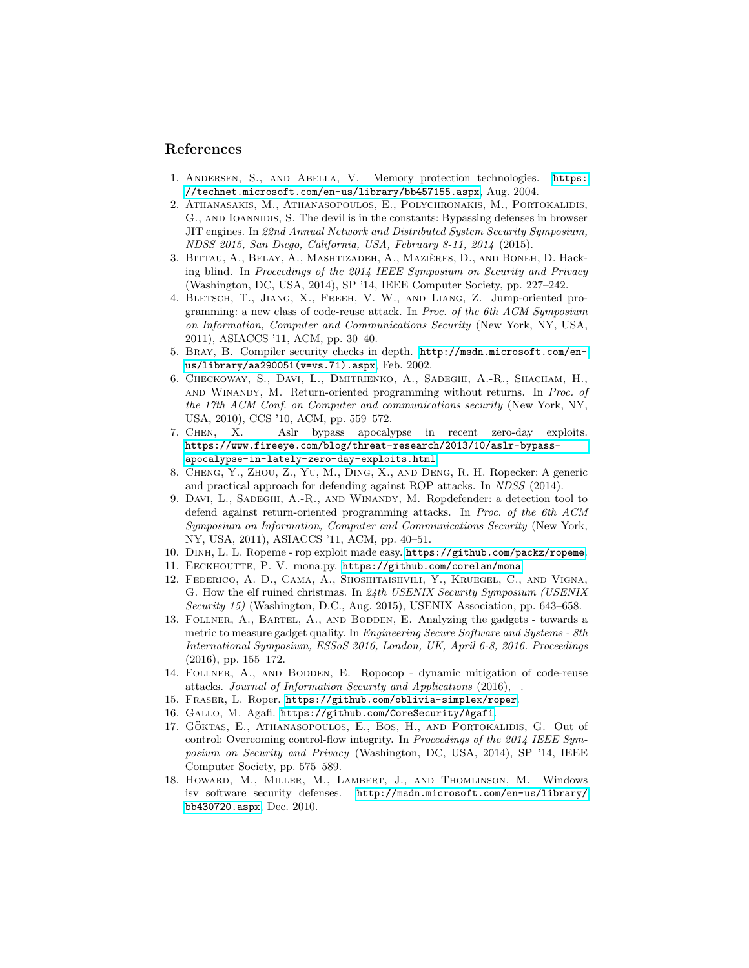## References

- <span id="page-14-1"></span>1. Andersen, S., and Abella, V. Memory protection technologies. [https:](https://technet.microsoft.com/en-us/library/bb457155.aspx) [//technet.microsoft.com/en-us/library/bb457155.aspx](https://technet.microsoft.com/en-us/library/bb457155.aspx), Aug. 2004.
- <span id="page-14-6"></span>2. Athanasakis, M., Athanasopoulos, E., Polychronakis, M., Portokalidis, G., AND IOANNIDIS, S. The devil is in the constants: Bypassing defenses in browser JIT engines. In 22nd Annual Network and Distributed System Security Symposium, NDSS 2015, San Diego, California, USA, February 8-11, 2014 (2015).
- <span id="page-14-8"></span>3. BITTAU, A., BELAY, A., MASHTIZADEH, A., MAZIÈRES, D., AND BONEH, D. Hacking blind. In Proceedings of the 2014 IEEE Symposium on Security and Privacy (Washington, DC, USA, 2014), SP '14, IEEE Computer Society, pp. 227–242.
- <span id="page-14-3"></span>4. Bletsch, T., Jiang, X., Freeh, V. W., and Liang, Z. Jump-oriented programming: a new class of code-reuse attack. In Proc. of the 6th ACM Symposium on Information, Computer and Communications Security (New York, NY, USA, 2011), ASIACCS '11, ACM, pp. 30–40.
- <span id="page-14-0"></span>5. Bray, B. Compiler security checks in depth. [http://msdn.microsoft.com/en](http://msdn.microsoft.com/en-us/library/aa290051(v=vs.71).aspx)[us/library/aa290051\(v=vs.71\).aspx](http://msdn.microsoft.com/en-us/library/aa290051(v=vs.71).aspx), Feb. 2002.
- <span id="page-14-4"></span>6. Checkoway, S., Davi, L., Dmitrienko, A., Sadeghi, A.-R., Shacham, H., and Winandy, M. Return-oriented programming without returns. In Proc. of the 17th ACM Conf. on Computer and communications security (New York, NY, USA, 2010), CCS '10, ACM, pp. 559–572.
- <span id="page-14-7"></span>7. Chen, X. Aslr bypass apocalypse in recent zero-day exploits. [https://www.fireeye.com/blog/threat-research/2013/10/aslr-bypass](https://www.fireeye.com/blog/threat-research/2013/10/aslr-bypass-apocalypse-in-lately-zero-day-exploits.html)[apocalypse-in-lately-zero-day-exploits.html](https://www.fireeye.com/blog/threat-research/2013/10/aslr-bypass-apocalypse-in-lately-zero-day-exploits.html).
- <span id="page-14-10"></span>8. Cheng, Y., Zhou, Z., Yu, M., Ding, X., and Deng, R. H. Ropecker: A generic and practical approach for defending against ROP attacks. In NDSS (2014).
- <span id="page-14-11"></span>9. Davi, L., Sadeghi, A.-R., and Winandy, M. Ropdefender: a detection tool to defend against return-oriented programming attacks. In Proc. of the 6th ACM Symposium on Information, Computer and Communications Security (New York, NY, USA, 2011), ASIACCS '11, ACM, pp. 40–51.
- <span id="page-14-16"></span>10. Dinh, L. L. Ropeme - rop exploit made easy. <https://github.com/packz/ropeme>.
- <span id="page-14-15"></span>11. EECKHOUTTE, P. V. mona.py. <https://github.com/corelan/mona>.
- <span id="page-14-9"></span>12. Federico, A. D., Cama, A., Shoshitaishvili, Y., Kruegel, C., and Vigna, G. How the elf ruined christmas. In 24th USENIX Security Symposium (USENIX Security 15) (Washington, D.C., Aug. 2015), USENIX Association, pp. 643–658.
- <span id="page-14-13"></span>13. FOLLNER, A., BARTEL, A., AND BODDEN, E. Analyzing the gadgets - towards a metric to measure gadget quality. In Engineering Secure Software and Systems - 8th International Symposium, ESSoS 2016, London, UK, April 6-8, 2016. Proceedings (2016), pp. 155–172.
- <span id="page-14-12"></span>14. FOLLNER, A., AND BODDEN, E. Ropocop - dynamic mitigation of code-reuse attacks. Journal of Information Security and Applications (2016), –.
- <span id="page-14-17"></span>15. Fraser, L. Roper. <https://github.com/oblivia-simplex/roper>.
- <span id="page-14-14"></span>16. Gallo, M. Agafi. <https://github.com/CoreSecurity/Agafi>.
- <span id="page-14-5"></span>17. GÖKTAS, E., ATHANASOPOULOS, E., BOS, H., AND PORTOKALIDIS, G. Out of control: Overcoming control-flow integrity. In Proceedings of the 2014 IEEE Symposium on Security and Privacy (Washington, DC, USA, 2014), SP '14, IEEE Computer Society, pp. 575–589.
- <span id="page-14-2"></span>18. HOWARD, M., MILLER, M., LAMBERT, J., AND THOMLINSON, M. Windows isv software security defenses. [http://msdn.microsoft.com/en-us/library/](http://msdn.microsoft.com/en-us/library/bb430720.aspx) [bb430720.aspx](http://msdn.microsoft.com/en-us/library/bb430720.aspx), Dec. 2010.